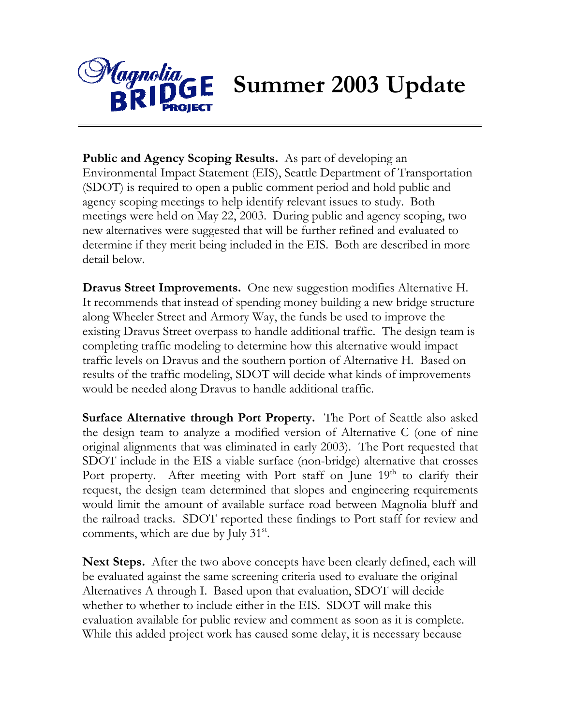

**Public and Agency Scoping Results.** As part of developing an Environmental Impact Statement (EIS), Seattle Department of Transportation (SDOT) is required to open a public comment period and hold public and agency scoping meetings to help identify relevant issues to study. Both meetings were held on May 22, 2003. During public and agency scoping, two new alternatives were suggested that will be further refined and evaluated to determine if they merit being included in the EIS. Both are described in more detail below.

**Dravus Street Improvements.** One new suggestion modifies Alternative H. It recommends that instead of spending money building a new bridge structure along Wheeler Street and Armory Way, the funds be used to improve the existing Dravus Street overpass to handle additional traffic. The design team is completing traffic modeling to determine how this alternative would impact traffic levels on Dravus and the southern portion of Alternative H. Based on results of the traffic modeling, SDOT will decide what kinds of improvements would be needed along Dravus to handle additional traffic.

**Surface Alternative through Port Property.** The Port of Seattle also asked the design team to analyze a modified version of Alternative C (one of nine original alignments that was eliminated in early 2003). The Port requested that SDOT include in the EIS a viable surface (non-bridge) alternative that crosses Port property. After meeting with Port staff on June 19<sup>th</sup> to clarify their request, the design team determined that slopes and engineering requirements would limit the amount of available surface road between Magnolia bluff and the railroad tracks. SDOT reported these findings to Port staff for review and comments, which are due by July  $31<sup>st</sup>$ .

**Next Steps.** After the two above concepts have been clearly defined, each will be evaluated against the same screening criteria used to evaluate the original Alternatives A through I. Based upon that evaluation, SDOT will decide whether to whether to include either in the EIS. SDOT will make this evaluation available for public review and comment as soon as it is complete. While this added project work has caused some delay, it is necessary because